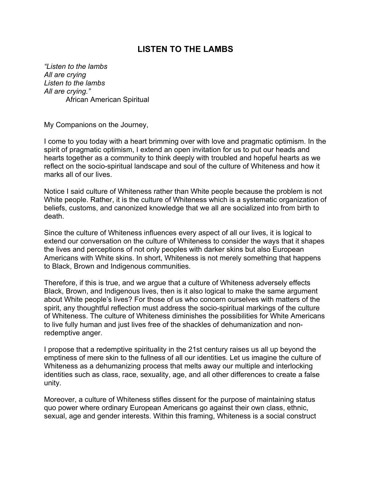## **LISTEN TO THE LAMBS**

*"Listen to the lambs All are crying Listen to the lambs All are crying."*  African American Spiritual

My Companions on the Journey,

I come to you today with a heart brimming over with love and pragmatic optimism. In the spirit of pragmatic optimism, I extend an open invitation for us to put our heads and hearts together as a community to think deeply with troubled and hopeful hearts as we reflect on the socio-spiritual landscape and soul of the culture of Whiteness and how it marks all of our lives.

Notice I said culture of Whiteness rather than White people because the problem is not White people. Rather, it is the culture of Whiteness which is a systematic organization of beliefs, customs, and canonized knowledge that we all are socialized into from birth to death.

Since the culture of Whiteness influences every aspect of all our lives, it is logical to extend our conversation on the culture of Whiteness to consider the ways that it shapes the lives and perceptions of not only peoples with darker skins but also European Americans with White skins. In short, Whiteness is not merely something that happens to Black, Brown and Indigenous communities.

Therefore, if this is true, and we argue that a culture of Whiteness adversely effects Black, Brown, and Indigenous lives, then is it also logical to make the same argument about White people's lives? For those of us who concern ourselves with matters of the spirit, any thoughtful reflection must address the socio-spiritual markings of the culture of Whiteness. The culture of Whiteness diminishes the possibilities for White Americans to live fully human and just lives free of the shackles of dehumanization and nonredemptive anger.

I propose that a redemptive spirituality in the 21st century raises us all up beyond the emptiness of mere skin to the fullness of all our identities. Let us imagine the culture of Whiteness as a dehumanizing process that melts away our multiple and interlocking identities such as class, race, sexuality, age, and all other differences to create a false unity.

Moreover, a culture of Whiteness stifles dissent for the purpose of maintaining status quo power where ordinary European Americans go against their own class, ethnic, sexual, age and gender interests. Within this framing, Whiteness is a social construct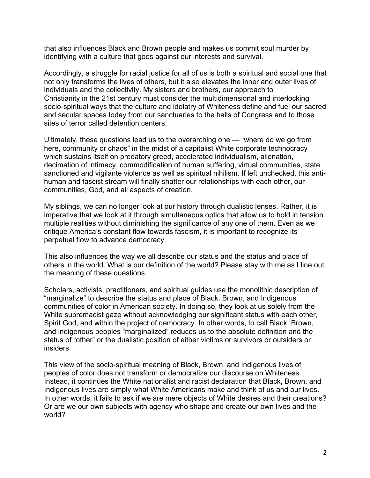that also influences Black and Brown people and makes us commit soul murder by identifying with a culture that goes against our interests and survival.

Accordingly, a struggle for racial justice for all of us is both a spiritual and social one that not only transforms the lives of others, but it also elevates the inner and outer lives of individuals and the collectivity. My sisters and brothers, our approach to Christianity in the 21st century must consider the multidimensional and interlocking socio-spiritual ways that the culture and idolatry of Whiteness define and fuel our sacred and secular spaces today from our sanctuaries to the halls of Congress and to those sites of terror called detention centers.

Ultimately, these questions lead us to the overarching one — "where do we go from here, community or chaos" in the midst of a capitalist White corporate technocracy which sustains itself on predatory greed, accelerated individualism, alienation, decimation of intimacy, commodification of human suffering, virtual communities, state sanctioned and vigilante violence as well as spiritual nihilism. If left unchecked, this antihuman and fascist stream will finally shatter our relationships with each other, our communities, God, and all aspects of creation.

My siblings, we can no longer look at our history through dualistic lenses. Rather, it is imperative that we look at it through simultaneous optics that allow us to hold in tension multiple realities without diminishing the significance of any one of them. Even as we critique America's constant flow towards fascism, it is important to recognize its perpetual flow to advance democracy.

This also influences the way we all describe our status and the status and place of others in the world. What is our definition of the world? Please stay with me as I line out the meaning of these questions.

Scholars, activists, practitioners, and spiritual guides use the monolithic description of "marginalize" to describe the status and place of Black, Brown, and Indigenous communities of color in American society. In doing so, they look at us solely from the White supremacist gaze without acknowledging our significant status with each other, Spirit God, and within the project of democracy. In other words, to call Black, Brown, and indigenous peoples "marginalized" reduces us to the absolute definition and the status of "other" or the dualistic position of either victims or survivors or outsiders or insiders.

This view of the socio-spiritual meaning of Black, Brown, and Indigenous lives of peoples of color does not transform or democratize our discourse on Whiteness. Instead, it continues the White nationalist and racist declaration that Black, Brown, and Indigenous lives are simply what White Americans make and think of us and our lives. In other words, it fails to ask if we are mere objects of White desires and their creations? Or are we our own subjects with agency who shape and create our own lives and the world?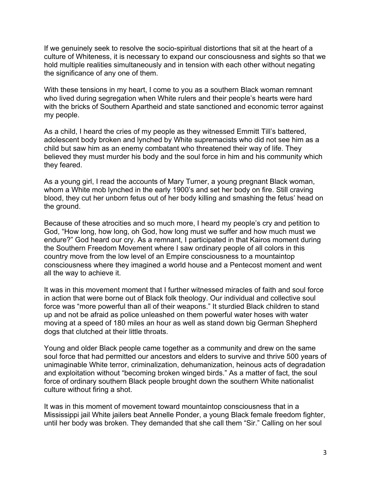If we genuinely seek to resolve the socio-spiritual distortions that sit at the heart of a culture of Whiteness, it is necessary to expand our consciousness and sights so that we hold multiple realities simultaneously and in tension with each other without negating the significance of any one of them.

With these tensions in my heart, I come to you as a southern Black woman remnant who lived during segregation when White rulers and their people's hearts were hard with the bricks of Southern Apartheid and state sanctioned and economic terror against my people.

As a child, I heard the cries of my people as they witnessed Emmitt Till's battered, adolescent body broken and lynched by White supremacists who did not see him as a child but saw him as an enemy combatant who threatened their way of life. They believed they must murder his body and the soul force in him and his community which they feared.

As a young girl, I read the accounts of Mary Turner, a young pregnant Black woman, whom a White mob lynched in the early 1900's and set her body on fire. Still craving blood, they cut her unborn fetus out of her body killing and smashing the fetus' head on the ground.

Because of these atrocities and so much more, I heard my people's cry and petition to God, "How long, how long, oh God, how long must we suffer and how much must we endure?" God heard our cry. As a remnant, I participated in that Kairos moment during the Southern Freedom Movement where I saw ordinary people of all colors in this country move from the low level of an Empire consciousness to a mountaintop consciousness where they imagined a world house and a Pentecost moment and went all the way to achieve it.

It was in this movement moment that I further witnessed miracles of faith and soul force in action that were borne out of Black folk theology. Our individual and collective soul force was "more powerful than all of their weapons." It sturdied Black children to stand up and not be afraid as police unleashed on them powerful water hoses with water moving at a speed of 180 miles an hour as well as stand down big German Shepherd dogs that clutched at their little throats.

Young and older Black people came together as a community and drew on the same soul force that had permitted our ancestors and elders to survive and thrive 500 years of unimaginable White terror, criminalization, dehumanization, heinous acts of degradation and exploitation without "becoming broken winged birds." As a matter of fact, the soul force of ordinary southern Black people brought down the southern White nationalist culture without firing a shot.

It was in this moment of movement toward mountaintop consciousness that in a Mississippi jail White jailers beat Annelle Ponder, a young Black female freedom fighter, until her body was broken. They demanded that she call them "Sir." Calling on her soul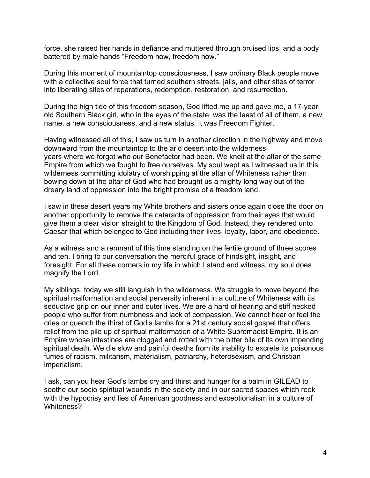force, she raised her hands in defiance and muttered through bruised lips, and a body battered by male hands "Freedom now, freedom now."

During this moment of mountaintop consciousness, I saw ordinary Black people move with a collective soul force that turned southern streets, jails, and other sites of terror into liberating sites of reparations, redemption, restoration, and resurrection.

During the high tide of this freedom season, God lifted me up and gave me, a 17-yearold Southern Black girl, who in the eyes of the state, was the least of all of them, a new name, a new consciousness, and a new status. It was Freedom Fighter.

Having witnessed all of this, I saw us turn in another direction in the highway and move downward from the mountaintop to the arid desert into the wilderness years where we forgot who our Benefactor had been. We knelt at the altar of the same Empire from which we fought to free ourselves. My soul wept as I witnessed us in this wilderness committing idolatry of worshipping at the altar of Whiteness rather than bowing down at the altar of God who had brought us a mighty long way out of the dreary land of oppression into the bright promise of a freedom land.

I saw in these desert years my White brothers and sisters once again close the door on another opportunity to remove the cataracts of oppression from their eyes that would give them a clear vision straight to the Kingdom of God. Instead, they rendered unto Caesar that which belonged to God including their lives, loyalty, labor, and obedience.

As a witness and a remnant of this time standing on the fertile ground of three scores and ten, I bring to our conversation the merciful grace of hindsight, insight, and foresight. For all these corners in my life in which I stand and witness, my soul does magnify the Lord.

My siblings, today we still languish in the wilderness. We struggle to move beyond the spiritual malformation and social perversity inherent in a culture of Whiteness with its seductive grip on our inner and outer lives. We are a hard of hearing and stiff necked people who suffer from numbness and lack of compassion. We cannot hear or feel the cries or quench the thirst of God's lambs for a 21st century social gospel that offers relief from the pile up of spiritual malformation of a White Supremacist Empire. It is an Empire whose intestines are clogged and rotted with the bitter bile of its own impending spiritual death. We die slow and painful deaths from its inability to excrete its poisonous fumes of racism, militarism, materialism, patriarchy, heterosexism, and Christian imperialism.

I ask, can you hear God's lambs cry and thirst and hunger for a balm in GILEAD to soothe our socio spiritual wounds in the society and in our sacred spaces which reek with the hypocrisy and lies of American goodness and exceptionalism in a culture of Whiteness?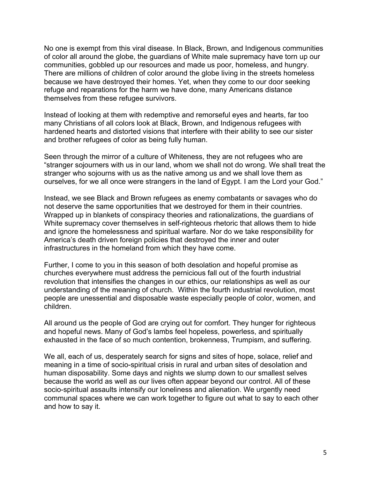No one is exempt from this viral disease. In Black, Brown, and Indigenous communities of color all around the globe, the guardians of White male supremacy have torn up our communities, gobbled up our resources and made us poor, homeless, and hungry. There are millions of children of color around the globe living in the streets homeless because we have destroyed their homes. Yet, when they come to our door seeking refuge and reparations for the harm we have done, many Americans distance themselves from these refugee survivors.

Instead of looking at them with redemptive and remorseful eyes and hearts, far too many Christians of all colors look at Black, Brown, and Indigenous refugees with hardened hearts and distorted visions that interfere with their ability to see our sister and brother refugees of color as being fully human.

Seen through the mirror of a culture of Whiteness, they are not refugees who are "stranger sojourners with us in our land, whom we shall not do wrong. We shall treat the stranger who sojourns with us as the native among us and we shall love them as ourselves, for we all once were strangers in the land of Egypt. I am the Lord your God."

Instead, we see Black and Brown refugees as enemy combatants or savages who do not deserve the same opportunities that we destroyed for them in their countries. Wrapped up in blankets of conspiracy theories and rationalizations, the guardians of White supremacy cover themselves in self-righteous rhetoric that allows them to hide and ignore the homelessness and spiritual warfare. Nor do we take responsibility for America's death driven foreign policies that destroyed the inner and outer infrastructures in the homeland from which they have come.

Further, I come to you in this season of both desolation and hopeful promise as churches everywhere must address the pernicious fall out of the fourth industrial revolution that intensifies the changes in our ethics, our relationships as well as our understanding of the meaning of church. Within the fourth industrial revolution, most people are unessential and disposable waste especially people of color, women, and children.

All around us the people of God are crying out for comfort. They hunger for righteous and hopeful news. Many of God's lambs feel hopeless, powerless, and spiritually exhausted in the face of so much contention, brokenness, Trumpism, and suffering.

We all, each of us, desperately search for signs and sites of hope, solace, relief and meaning in a time of socio-spiritual crisis in rural and urban sites of desolation and human disposability. Some days and nights we slump down to our smallest selves because the world as well as our lives often appear beyond our control. All of these socio-spiritual assaults intensify our loneliness and alienation. We urgently need communal spaces where we can work together to figure out what to say to each other and how to say it.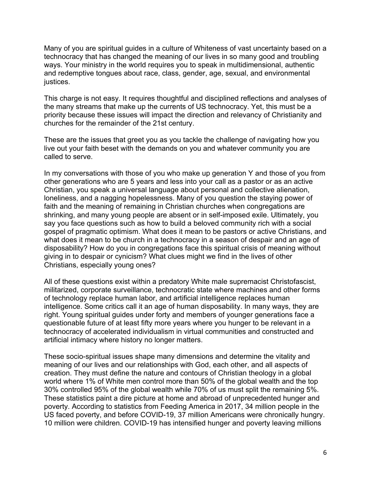Many of you are spiritual guides in a culture of Whiteness of vast uncertainty based on a technocracy that has changed the meaning of our lives in so many good and troubling ways. Your ministry in the world requires you to speak in multidimensional, authentic and redemptive tongues about race, class, gender, age, sexual, and environmental justices.

This charge is not easy. It requires thoughtful and disciplined reflections and analyses of the many streams that make up the currents of US technocracy. Yet, this must be a priority because these issues will impact the direction and relevancy of Christianity and churches for the remainder of the 21st century.

These are the issues that greet you as you tackle the challenge of navigating how you live out your faith beset with the demands on you and whatever community you are called to serve.

In my conversations with those of you who make up generation Y and those of you from other generations who are 5 years and less into your call as a pastor or as an active Christian, you speak a universal language about personal and collective alienation, loneliness, and a nagging hopelessness. Many of you question the staying power of faith and the meaning of remaining in Christian churches when congregations are shrinking, and many young people are absent or in self-imposed exile. Ultimately, you say you face questions such as how to build a beloved community rich with a social gospel of pragmatic optimism. What does it mean to be pastors or active Christians, and what does it mean to be church in a technocracy in a season of despair and an age of disposability? How do you in congregations face this spiritual crisis of meaning without giving in to despair or cynicism? What clues might we find in the lives of other Christians, especially young ones?

All of these questions exist within a predatory White male supremacist Christofascist, militarized, corporate surveillance, technocratic state where machines and other forms of technology replace human labor, and artificial intelligence replaces human intelligence. Some critics call it an age of human disposability. In many ways, they are right. Young spiritual guides under forty and members of younger generations face a questionable future of at least fifty more years where you hunger to be relevant in a technocracy of accelerated individualism in virtual communities and constructed and artificial intimacy where history no longer matters.

These socio-spiritual issues shape many dimensions and determine the vitality and meaning of our lives and our relationships with God, each other, and all aspects of creation. They must define the nature and contours of Christian theology in a global world where 1% of White men control more than 50% of the global wealth and the top 30% controlled 95% of the global wealth while 70% of us must split the remaining 5%. These statistics paint a dire picture at home and abroad of unprecedented hunger and poverty. According to statistics from Feeding America in 2017, 34 million people in the US faced poverty, and before COVID-19, 37 million Americans were chronically hungry. 10 million were children. COVID-19 has intensified hunger and poverty leaving millions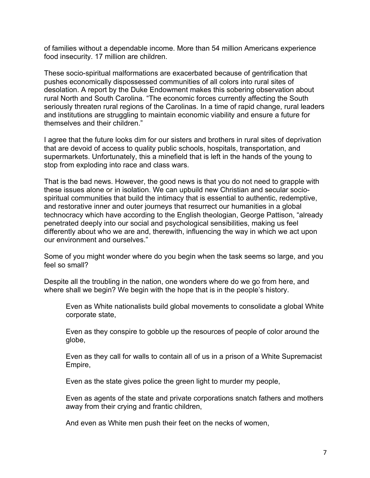of families without a dependable income. More than 54 million Americans experience food insecurity. 17 million are children.

These socio-spiritual malformations are exacerbated because of gentrification that pushes economically dispossessed communities of all colors into rural sites of desolation. A report by the Duke Endowment makes this sobering observation about rural North and South Carolina. "The economic forces currently affecting the South seriously threaten rural regions of the Carolinas. In a time of rapid change, rural leaders and institutions are struggling to maintain economic viability and ensure a future for themselves and their children."

I agree that the future looks dim for our sisters and brothers in rural sites of deprivation that are devoid of access to quality public schools, hospitals, transportation, and supermarkets. Unfortunately, this a minefield that is left in the hands of the young to stop from exploding into race and class wars.

That is the bad news. However, the good news is that you do not need to grapple with these issues alone or in isolation. We can upbuild new Christian and secular sociospiritual communities that build the intimacy that is essential to authentic, redemptive, and restorative inner and outer journeys that resurrect our humanities in a global technocracy which have according to the English theologian, George Pattison, "already penetrated deeply into our social and psychological sensibilities, making us feel differently about who we are and, therewith, influencing the way in which we act upon our environment and ourselves."

Some of you might wonder where do you begin when the task seems so large, and you feel so small?

Despite all the troubling in the nation, one wonders where do we go from here, and where shall we begin? We begin with the hope that is in the people's history.

Even as White nationalists build global movements to consolidate a global White corporate state,

Even as they conspire to gobble up the resources of people of color around the globe,

Even as they call for walls to contain all of us in a prison of a White Supremacist Empire,

Even as the state gives police the green light to murder my people,

Even as agents of the state and private corporations snatch fathers and mothers away from their crying and frantic children,

And even as White men push their feet on the necks of women,